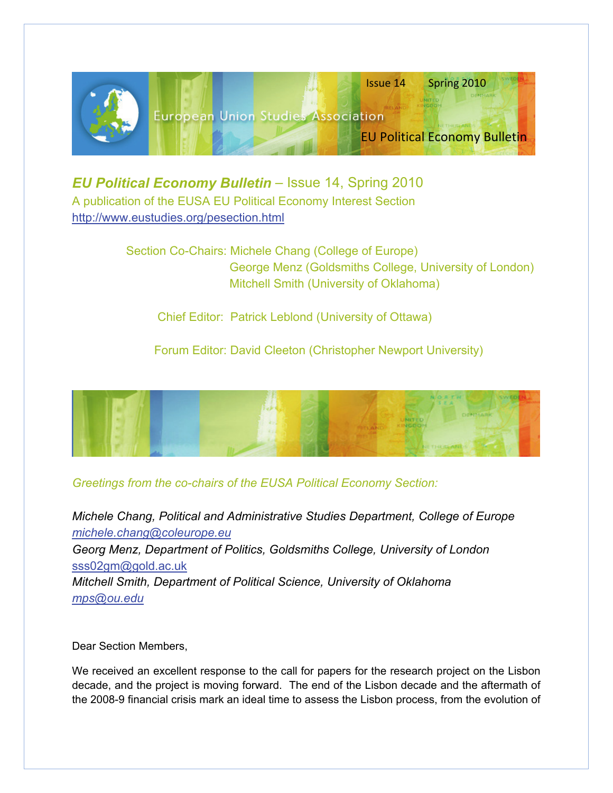

*EU Political Economy Bulletin – Issue 14, Spring 2010* A publication of the EUSA EU Political Economy Interest Section <http://www.eustudies.org/pesection.html>

> Section Co-Chairs: Michele Chang (College of Europe) George Menz (Goldsmiths College, University of London) Mitchell Smith (University of Oklahoma)

Chief Editor: Patrick Leblond (University of Ottawa)

Forum Editor: David Cleeton (Christopher Newport University)



# *Greetings from the co-chairs of the EUSA Political Economy Section:*

*Michele Chang, Political and Administrative Studies Department, College of Europe [michele.chang@coleurope.eu](mailto:michele.chang@coleurope.eu) Georg Menz, Department of Politics, Goldsmiths College, University of London*  [sss02gm@gold.ac.uk](mailto:sss02gm@gold.ac.uk) *Mitchell Smith, Department of Political Science, University of Oklahoma [mps@ou.edu](mailto:mps@ou.edu)*

Dear Section Members,

We received an excellent response to the call for papers for the research project on the Lisbon decade, and the project is moving forward. The end of the Lisbon decade and the aftermath of the 2008-9 financial crisis mark an ideal time to assess the Lisbon process, from the evolution of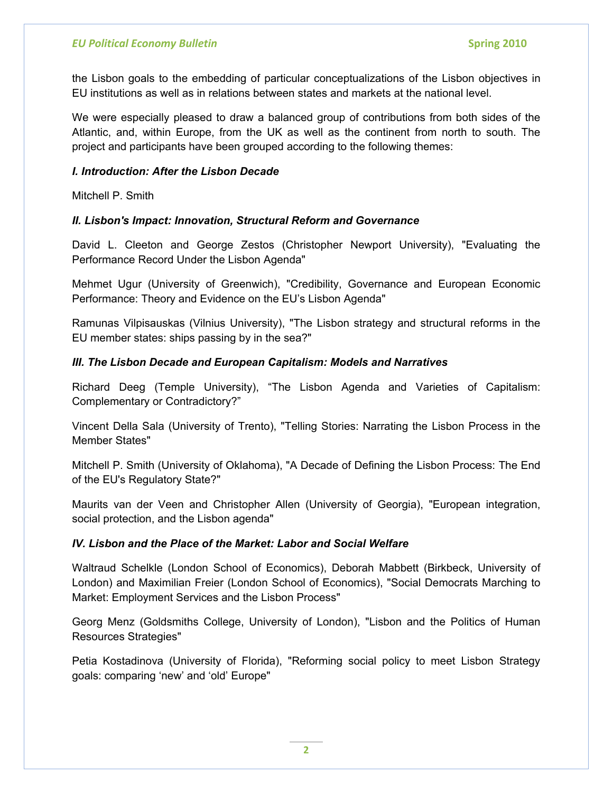the Lisbon goals to the embedding of particular conceptualizations of the Lisbon objectives in EU institutions as well as in relations between states and markets at the national level.

We were especially pleased to draw a balanced group of contributions from both sides of the Atlantic, and, within Europe, from the UK as well as the continent from north to south. The project and participants have been grouped according to the following themes:

### *I. Introduction: After the Lisbon Decade*

Mitchell P. Smith

#### *II. Lisbon's Impact: Innovation, Structural Reform and Governance*

David L. Cleeton and George Zestos (Christopher Newport University), "Evaluating the Performance Record Under the Lisbon Agenda"

Mehmet Ugur (University of Greenwich), "Credibility, Governance and European Economic Performance: Theory and Evidence on the EU's Lisbon Agenda"

Ramunas Vilpisauskas (Vilnius University), "The Lisbon strategy and structural reforms in the EU member states: ships passing by in the sea?"

#### *III. The Lisbon Decade and European Capitalism: Models and Narratives*

Richard Deeg (Temple University), "The Lisbon Agenda and Varieties of Capitalism: Complementary or Contradictory?"

Vincent Della Sala (University of Trento), "Telling Stories: Narrating the Lisbon Process in the Member States"

Mitchell P. Smith (University of Oklahoma), "A Decade of Defining the Lisbon Process: The End of the EU's Regulatory State?"

Maurits van der Veen and Christopher Allen (University of Georgia), "European integration, social protection, and the Lisbon agenda"

#### *IV. Lisbon and the Place of the Market: Labor and Social Welfare*

Waltraud Schelkle (London School of Economics), Deborah Mabbett (Birkbeck, University of London) and Maximilian Freier (London School of Economics), "Social Democrats Marching to Market: Employment Services and the Lisbon Process"

Georg Menz (Goldsmiths College, University of London), "Lisbon and the Politics of Human Resources Strategies"

Petia Kostadinova (University of Florida), "Reforming social policy to meet Lisbon Strategy goals: comparing 'new' and 'old' Europe"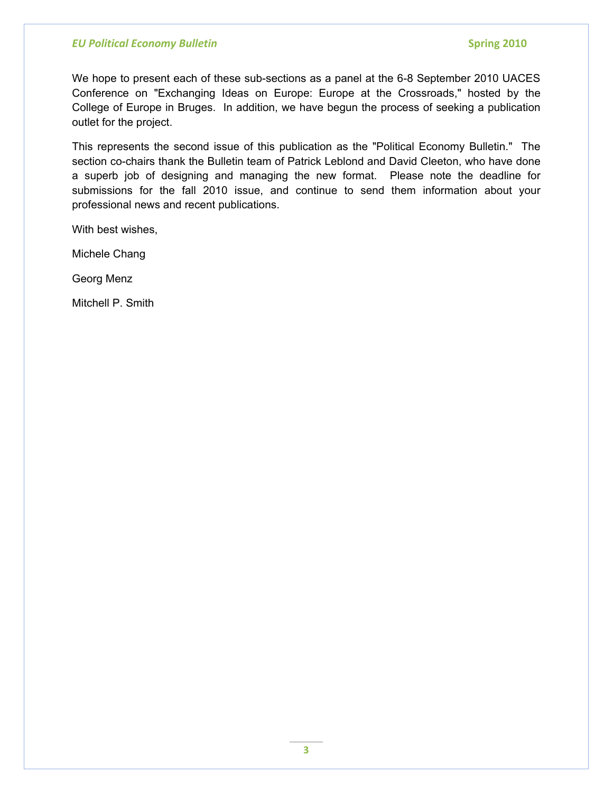We hope to present each of these sub-sections as a panel at the 6-8 September 2010 UACES Conference on "Exchanging Ideas on Europe: Europe at the Crossroads," hosted by the College of Europe in Bruges. In addition, we have begun the process of seeking a publication outlet for the project.

This represents the second issue of this publication as the "Political Economy Bulletin." The section co-chairs thank the Bulletin team of Patrick Leblond and David Cleeton, who have done a superb job of designing and managing the new format. Please note the deadline for submissions for the fall 2010 issue, and continue to send them information about your professional news and recent publications.

With best wishes,

Michele Chang

Georg Menz

Mitchell P. Smith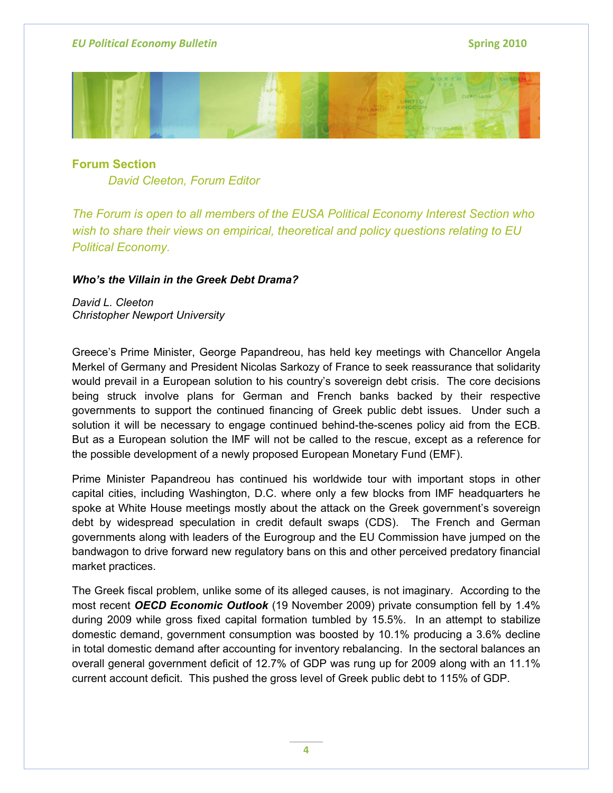

**Forum Section** *David Cleeton, Forum Editor* 

*The Forum is open to all members of the EUSA Political Economy Interest Section who wish to share their views on empirical, theoretical and policy questions relating to EU Political Economy.*

#### *Who's the Villain in the Greek Debt Drama?*

*David L. Cleeton Christopher Newport University* 

Greece's Prime Minister, George Papandreou, has held key meetings with Chancellor Angela Merkel of Germany and President Nicolas Sarkozy of France to seek reassurance that solidarity would prevail in a European solution to his country's sovereign debt crisis. The core decisions being struck involve plans for German and French banks backed by their respective governments to support the continued financing of Greek public debt issues. Under such a solution it will be necessary to engage continued behind-the-scenes policy aid from the ECB. But as a European solution the IMF will not be called to the rescue, except as a reference for the possible development of a newly proposed European Monetary Fund (EMF).

Prime Minister Papandreou has continued his worldwide tour with important stops in other capital cities, including Washington, D.C. where only a few blocks from IMF headquarters he spoke at White House meetings mostly about the attack on the Greek government's sovereign debt by widespread speculation in credit default swaps (CDS). The French and German governments along with leaders of the Eurogroup and the EU Commission have jumped on the bandwagon to drive forward new regulatory bans on this and other perceived predatory financial market practices.

The Greek fiscal problem, unlike some of its alleged causes, is not imaginary. According to the most recent *OECD Economic Outlook* (19 November 2009) private consumption fell by 1.4% during 2009 while gross fixed capital formation tumbled by 15.5%. In an attempt to stabilize domestic demand, government consumption was boosted by 10.1% producing a 3.6% decline in total domestic demand after accounting for inventory rebalancing. In the sectoral balances an overall general government deficit of 12.7% of GDP was rung up for 2009 along with an 11.1% current account deficit. This pushed the gross level of Greek public debt to 115% of GDP.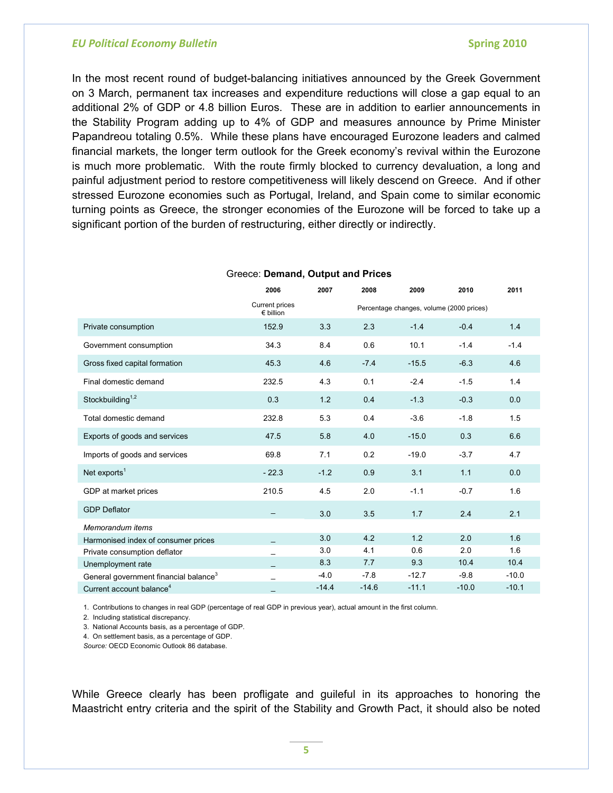In the most recent round of budget-balancing initiatives announced by the Greek Government on 3 March, permanent tax increases and expenditure reductions will close a gap equal to an additional 2% of GDP or 4.8 billion Euros. These are in addition to earlier announcements in the Stability Program adding up to 4% of GDP and measures announce by Prime Minister Papandreou totaling 0.5%. While these plans have encouraged Eurozone leaders and calmed financial markets, the longer term outlook for the Greek economy's revival within the Eurozone is much more problematic. With the route firmly blocked to currency devaluation, a long and painful adjustment period to restore competitiveness will likely descend on Greece. And if other stressed Eurozone economies such as Portugal, Ireland, and Spain come to similar economic turning points as Greece, the stronger economies of the Eurozone will be forced to take up a significant portion of the burden of restructuring, either directly or indirectly.

|                                                   | 2006                                 | 2007    | 2008                                     | 2009    | 2010    | 2011    |
|---------------------------------------------------|--------------------------------------|---------|------------------------------------------|---------|---------|---------|
|                                                   | Current prices<br>$\epsilon$ billion |         | Percentage changes, volume (2000 prices) |         |         |         |
| Private consumption                               | 152.9                                | 3.3     | 2.3                                      | $-1.4$  | $-0.4$  | 1.4     |
| Government consumption                            | 34.3                                 | 8.4     | 0.6                                      | 10.1    | $-1.4$  | $-1.4$  |
| Gross fixed capital formation                     | 45.3                                 | 4.6     | $-7.4$                                   | $-15.5$ | $-6.3$  | 4.6     |
| Final domestic demand                             | 232.5                                | 4.3     | 0.1                                      | $-2.4$  | $-1.5$  | 1.4     |
| Stockbuilding <sup><math>1,2</math></sup>         | 0.3                                  | 1.2     | 0.4                                      | $-1.3$  | $-0.3$  | 0.0     |
| Total domestic demand                             | 232.8                                | 5.3     | 0.4                                      | $-3.6$  | $-1.8$  | 1.5     |
| Exports of goods and services                     | 47.5                                 | 5.8     | 4.0                                      | $-15.0$ | 0.3     | 6.6     |
| Imports of goods and services                     | 69.8                                 | 7.1     | 0.2                                      | $-19.0$ | $-3.7$  | 4.7     |
| Net exports <sup>1</sup>                          | $-22.3$                              | $-1.2$  | 0.9                                      | 3.1     | 1.1     | 0.0     |
| GDP at market prices                              | 210.5                                | 4.5     | 2.0                                      | $-1.1$  | $-0.7$  | 1.6     |
| <b>GDP</b> Deflator                               |                                      | 3.0     | 3.5                                      | 1.7     | 2.4     | 2.1     |
| Memorandum items                                  |                                      |         |                                          |         |         |         |
| Harmonised index of consumer prices               |                                      | 3.0     | 4.2                                      | 1.2     | 2.0     | 1.6     |
| Private consumption deflator                      |                                      | 3.0     | 4.1                                      | 0.6     | 2.0     | 1.6     |
| Unemployment rate                                 |                                      | 8.3     | 7.7                                      | 9.3     | 10.4    | 10.4    |
| General government financial balance <sup>3</sup> |                                      | $-4.0$  | $-7.8$                                   | $-12.7$ | $-9.8$  | $-10.0$ |
| Current account balance <sup>4</sup>              |                                      | $-14.4$ | $-14.6$                                  | $-11.1$ | $-10.0$ | $-10.1$ |

#### Greece: **Demand, Output and Prices**

1. Contributions to changes in real GDP (percentage of real GDP in previous year), actual amount in the first column.

2. Including statistical discrepancy.

3. National Accounts basis, as a percentage of GDP.

4. On settlement basis, as a percentage of GDP.

*Source:* OECD Economic Outlook 86 database.

While Greece clearly has been profligate and guileful in its approaches to honoring the Maastricht entry criteria and the spirit of the Stability and Growth Pact, it should also be noted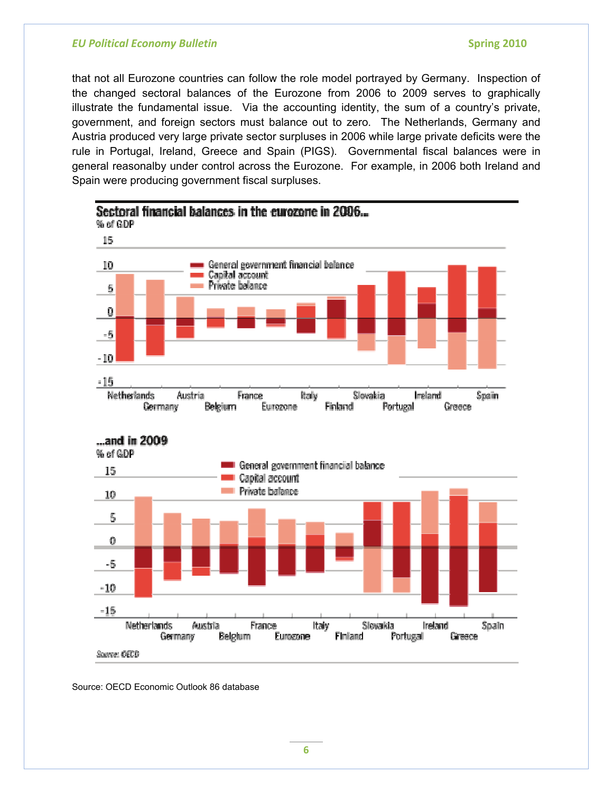that not all Eurozone countries can follow the role model portrayed by Germany. Inspection of the changed sectoral balances of the Eurozone from 2006 to 2009 serves to graphically illustrate the fundamental issue. Via the accounting identity, the sum of a country's private, government, and foreign sectors must balance out to zero. The Netherlands, Germany and Austria produced very large private sector surpluses in 2006 while large private deficits were the rule in Portugal, Ireland, Greece and Spain (PIGS). Governmental fiscal balances were in general reasonalby under control across the Eurozone. For example, in 2006 both Ireland and Spain were producing government fiscal surpluses.



Source: OECD Economic Outlook 86 database

**6**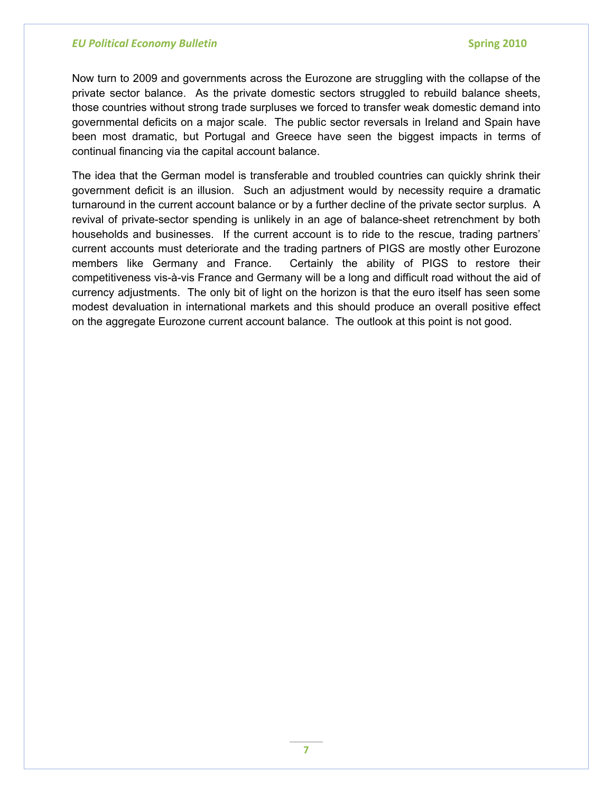Now turn to 2009 and governments across the Eurozone are struggling with the collapse of the private sector balance. As the private domestic sectors struggled to rebuild balance sheets, those countries without strong trade surpluses we forced to transfer weak domestic demand into governmental deficits on a major scale. The public sector reversals in Ireland and Spain have been most dramatic, but Portugal and Greece have seen the biggest impacts in terms of continual financing via the capital account balance.

The idea that the German model is transferable and troubled countries can quickly shrink their government deficit is an illusion. Such an adjustment would by necessity require a dramatic turnaround in the current account balance or by a further decline of the private sector surplus. A revival of private-sector spending is unlikely in an age of balance-sheet retrenchment by both households and businesses. If the current account is to ride to the rescue, trading partners' current accounts must deteriorate and the trading partners of PIGS are mostly other Eurozone members like Germany and France. Certainly the ability of PIGS to restore their competitiveness vis-à-vis France and Germany will be a long and difficult road without the aid of currency adjustments. The only bit of light on the horizon is that the euro itself has seen some modest devaluation in international markets and this should produce an overall positive effect on the aggregate Eurozone current account balance. The outlook at this point is not good.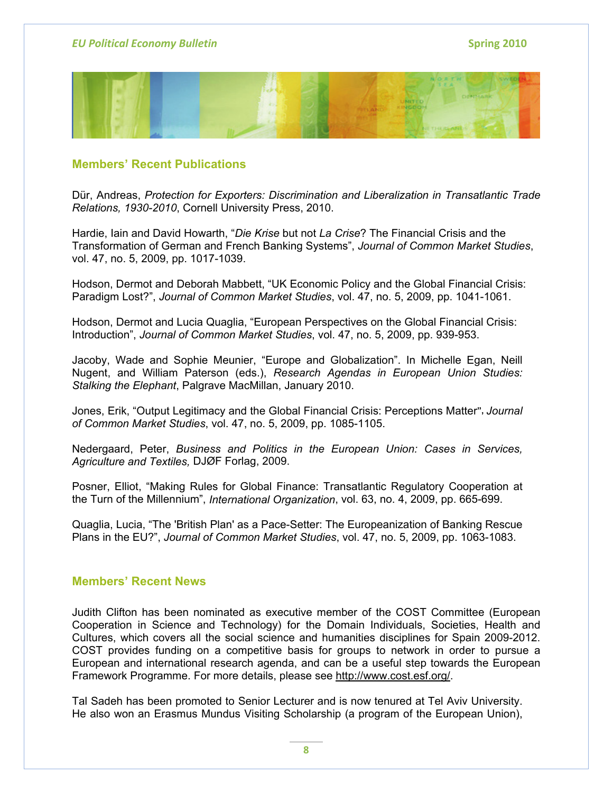

# **Members' Recent Publications**

Dür, Andreas, *Protection for Exporters: Discrimination and Liberalization in Transatlantic Trade Relations, 1930-2010*, Cornell University Press, 2010.

Hardie, Iain and David Howarth, "*Die Krise* but not *La Crise*? The Financial Crisis and the Transformation of German and French Banking Systems", *Journal of Common Market Studies*, vol. 47, no. 5, 2009, pp. 1017-1039.

Hodson, Dermot and Deborah Mabbett, "UK Economic Policy and the Global Financial Crisis: Paradigm Lost?", *Journal of Common Market Studies*, vol. 47, no. 5, 2009, pp. 1041-1061.

Hodson, Dermot and Lucia Quaglia, "European Perspectives on the Global Financial Crisis: Introduction", *Journal of Common Market Studies*, vol. 47, no. 5, 2009, pp. 939-953.

Jacoby, Wade and Sophie Meunier, "Europe and Globalization". In Michelle Egan, Neill Nugent, and William Paterson (eds.), *Research Agendas in European Union Studies: Stalking the Elephant*, Palgrave MacMillan, January 2010.

Jones, Erik, "Output Legitimacy and the Global Financial Crisis: Perceptions Matter**",** *Journal of Common Market Studies*, vol. 47, no. 5, 2009, pp. 1085-1105.

Nedergaard, Peter, *Business and Politics in the European Union: Cases in Services, Agriculture and Textiles,* DJØF Forlag, 2009.

Posner, Elliot, "Making Rules for Global Finance: Transatlantic Regulatory Cooperation at the Turn of the Millennium", *International Organization*, vol. 63, no. 4, 2009, pp. 665-699.

Quaglia, Lucia, "The 'British Plan' as a Pace-Setter: The Europeanization of Banking Rescue Plans in the EU?", *Journal of Common Market Studies*, vol. 47, no. 5, 2009, pp. 1063-1083.

#### **Members' Recent News**

Judith Clifton has been nominated as executive member of the COST Committee (European Cooperation in Science and Technology) for the Domain Individuals, Societies, Health and Cultures, which covers all the social science and humanities disciplines for Spain 2009-2012. COST provides funding on a competitive basis for groups to network in order to pursue a European and international research agenda, and can be a useful step towards the European Framework Programme. For more details, please see [http://www.cost.esf.org/.](http://www.cost.esf.org/)

Tal Sadeh has been promoted to Senior Lecturer and is now tenured at Tel Aviv University. He also won an Erasmus Mundus Visiting Scholarship (a program of the European Union),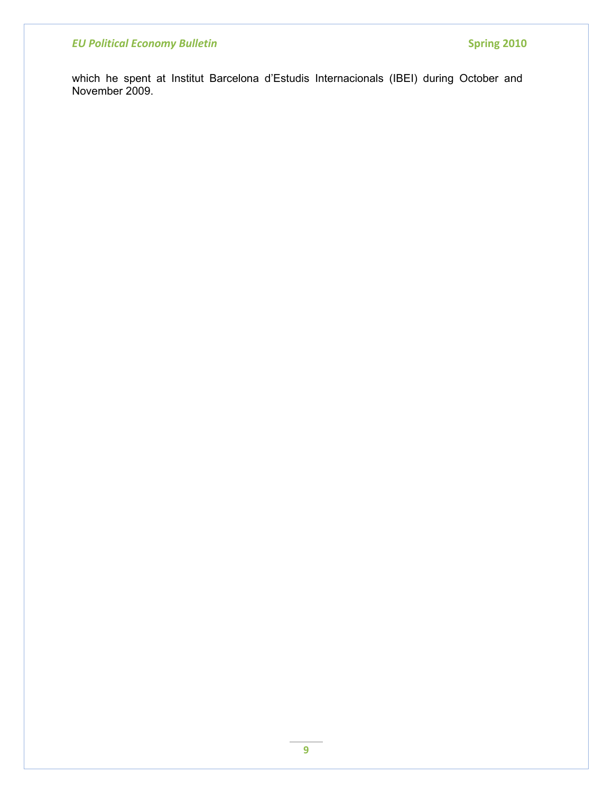which he spent at Institut Barcelona d'Estudis Internacionals (IBEI) during October and November 2009.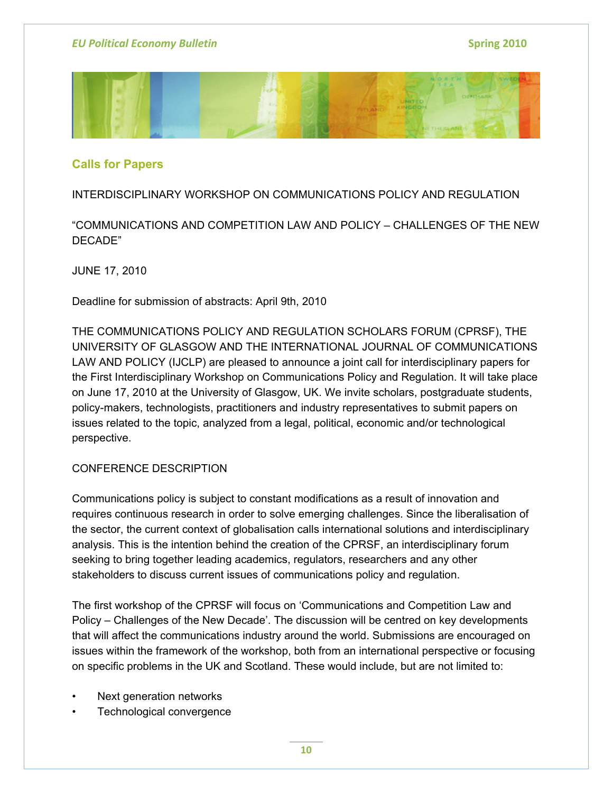

# **Calls for Papers**

# INTERDISCIPLINARY WORKSHOP ON COMMUNICATIONS POLICY AND REGULATION

"COMMUNICATIONS AND COMPETITION LAW AND POLICY – CHALLENGES OF THE NEW DECADE"

JUNE 17, 2010

Deadline for submission of abstracts: April 9th, 2010

THE COMMUNICATIONS POLICY AND REGULATION SCHOLARS FORUM (CPRSF), THE UNIVERSITY OF GLASGOW AND THE INTERNATIONAL JOURNAL OF COMMUNICATIONS LAW AND POLICY (IJCLP) are pleased to announce a joint call for interdisciplinary papers for the First Interdisciplinary Workshop on Communications Policy and Regulation. It will take place on June 17, 2010 at the University of Glasgow, UK. We invite scholars, postgraduate students, policy-makers, technologists, practitioners and industry representatives to submit papers on issues related to the topic, analyzed from a legal, political, economic and/or technological perspective.

# CONFERENCE DESCRIPTION

Communications policy is subject to constant modifications as a result of innovation and requires continuous research in order to solve emerging challenges. Since the liberalisation of the sector, the current context of globalisation calls international solutions and interdisciplinary analysis. This is the intention behind the creation of the CPRSF, an interdisciplinary forum seeking to bring together leading academics, regulators, researchers and any other stakeholders to discuss current issues of communications policy and regulation.

The first workshop of the CPRSF will focus on 'Communications and Competition Law and Policy – Challenges of the New Decade'. The discussion will be centred on key developments that will affect the communications industry around the world. Submissions are encouraged on issues within the framework of the workshop, both from an international perspective or focusing on specific problems in the UK and Scotland. These would include, but are not limited to:

- Next generation networks
- Technological convergence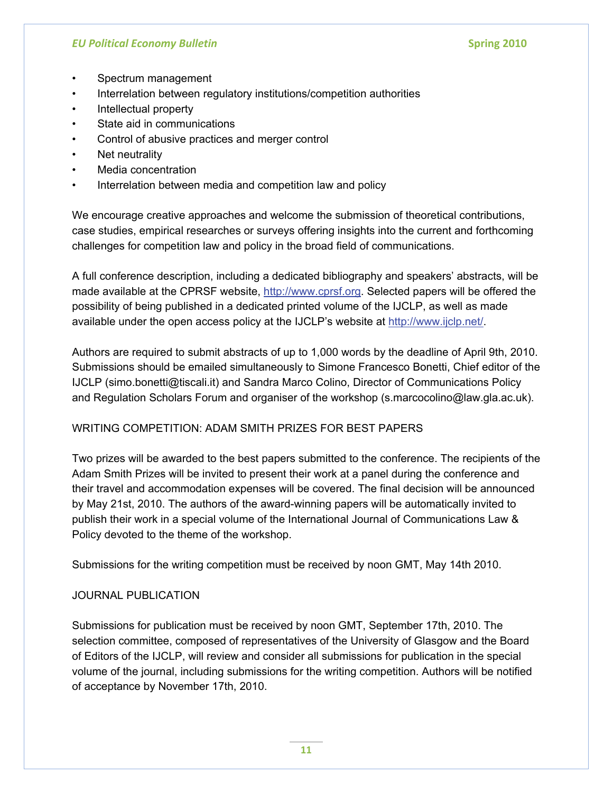- Spectrum management
- Interrelation between regulatory institutions/competition authorities
- Intellectual property
- State aid in communications
- Control of abusive practices and merger control
- Net neutrality
- Media concentration
- Interrelation between media and competition law and policy

We encourage creative approaches and welcome the submission of theoretical contributions, case studies, empirical researches or surveys offering insights into the current and forthcoming challenges for competition law and policy in the broad field of communications.

A full conference description, including a dedicated bibliography and speakers' abstracts, will be made available at the CPRSF website, [http://www.cprsf.org.](http://www.cprsf.org/) Selected papers will be offered the possibility of being published in a dedicated printed volume of the IJCLP, as well as made available under the open access policy at the IJCLP's website at [http://www.ijclp.net/.](http://www.ijclp.net/)

Authors are required to submit abstracts of up to 1,000 words by the deadline of April 9th, 2010. Submissions should be emailed simultaneously to Simone Francesco Bonetti, Chief editor of the IJCLP (simo.bonetti@tiscali.it) and Sandra Marco Colino, Director of Communications Policy and Regulation Scholars Forum and organiser of the workshop (s.marcocolino@law.gla.ac.uk).

# WRITING COMPETITION: ADAM SMITH PRIZES FOR BEST PAPERS

Two prizes will be awarded to the best papers submitted to the conference. The recipients of the Adam Smith Prizes will be invited to present their work at a panel during the conference and their travel and accommodation expenses will be covered. The final decision will be announced by May 21st, 2010. The authors of the award-winning papers will be automatically invited to publish their work in a special volume of the International Journal of Communications Law & Policy devoted to the theme of the workshop.

Submissions for the writing competition must be received by noon GMT, May 14th 2010.

# JOURNAL PUBLICATION

Submissions for publication must be received by noon GMT, September 17th, 2010. The selection committee, composed of representatives of the University of Glasgow and the Board of Editors of the IJCLP, will review and consider all submissions for publication in the special volume of the journal, including submissions for the writing competition. Authors will be notified of acceptance by November 17th, 2010.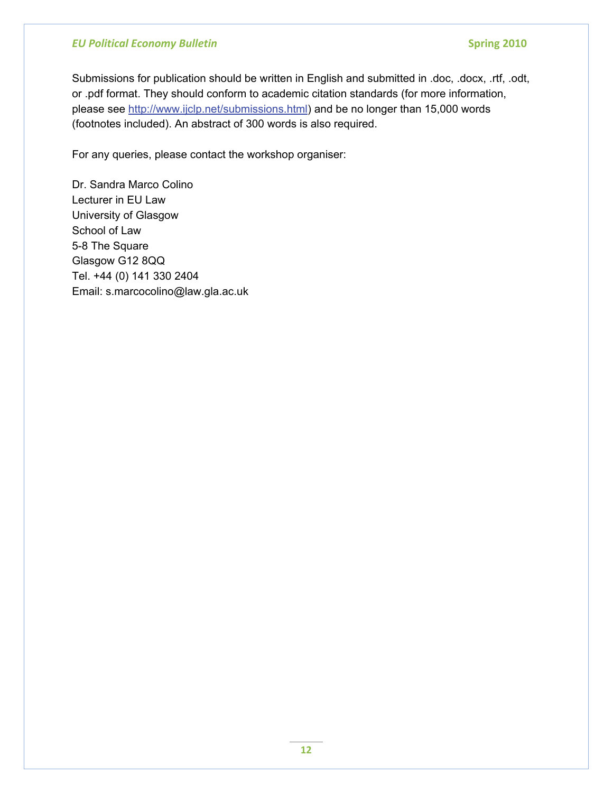Submissions for publication should be written in English and submitted in .doc, .docx, .rtf, .odt, or .pdf format. They should conform to academic citation standards (for more information, please see<http://www.ijclp.net/submissions.html>) and be no longer than 15,000 words (footnotes included). An abstract of 300 words is also required.

For any queries, please contact the workshop organiser:

Dr. Sandra Marco Colino Lecturer in EU Law University of Glasgow School of Law 5-8 The Square Glasgow G12 8QQ Tel. +44 (0) 141 330 2404 Email: s.marcocolino@law.gla.ac.uk